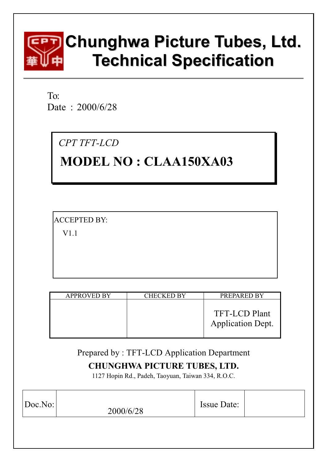

To: Date: 2000/6/28

CPT TFT-LCD

# **MODEL NO: CLAA150XA03**

**ACCEPTED BY:** 

 $V1.1$ 

| <b>APPROVED BY</b> | <b>CHECKED BY</b> | PREPARED BY                                      |
|--------------------|-------------------|--------------------------------------------------|
|                    |                   | <b>TFT-LCD Plant</b><br><b>Application Dept.</b> |

## Prepared by: TFT-LCD Application Department

## **CHUNGHWA PICTURE TUBES, LTD.**

1127 Hopin Rd., Padeh, Taoyuan, Taiwan 334, R.O.C.

| Doc.No: | 2000/6/28 | <b>Issue Date:</b> |  |
|---------|-----------|--------------------|--|
|         |           |                    |  |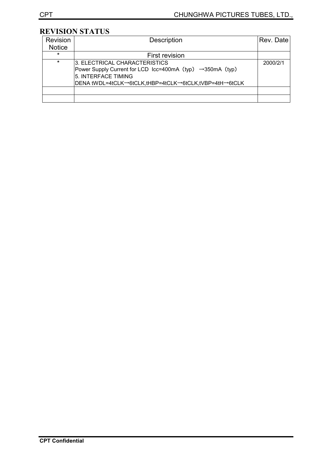## REVISION STATUS

| <b>Revision</b> | <b>Description</b>                                                                                                                                                          | Rev. Date |
|-----------------|-----------------------------------------------------------------------------------------------------------------------------------------------------------------------------|-----------|
| <b>Notice</b>   |                                                                                                                                                                             |           |
| $\star$         | First revision                                                                                                                                                              |           |
| $\star$         | 3. ELECTRICAL CHARACTERISTICS<br>Power Supply Current for LCD Icc=400mA (typ) →350mA (typ)<br>5. INTERFACE TIMING<br> DENA tWDL=4tCLK→6tCLK,tHBP=4tCLK→6tCLK,tVBP=4tH→6tCLK | 2000/2/1  |
|                 |                                                                                                                                                                             |           |
|                 |                                                                                                                                                                             |           |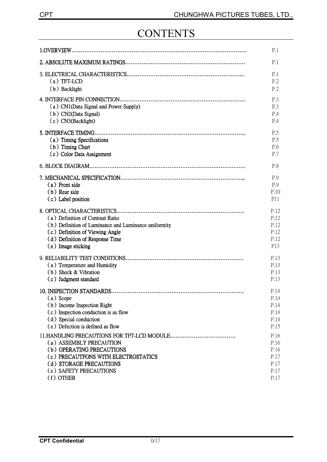## **CONTENTS**

|                                                      | P.1             |
|------------------------------------------------------|-----------------|
|                                                      | P.1             |
|                                                      | P.1             |
| $(a)$ TFT-LCD                                        | P <sub>.2</sub> |
| (b) Backlight                                        | P.2             |
|                                                      | P.3             |
| (a) CN1(Data Signal and Power Supply)                | P.3             |
| (b) CN2(Data Signal)                                 | P.4             |
| (c) CN3(Backlight)                                   | P.4             |
|                                                      | P.5             |
| (a) Timing Specifications                            | P.5             |
| (b) Timing Chart                                     | P.6             |
| (c) Color Data Assignment                            | P.7             |
|                                                      | P.8             |
|                                                      | P.9             |
| (a) Front side                                       | P.9             |
| (b) Rear side                                        | P.10            |
| (c) Label position                                   | P11             |
|                                                      | P.12            |
| (a) Definition of Contrast Ratio                     | P,12            |
| (b) Definition of Luminance and Luminance uniformity | P.12            |
| (c) Definition of Viewing Angle                      | P.12            |
| (d) Definition of Response Time                      | P.12            |
| (e) Image sticking                                   | P13             |
|                                                      | P.13            |
| (a) Temperature and Humidity                         | P.13            |
| (b) Shock & Vibration                                | P.13            |
| (c) Judgment standard                                | P.13            |
| 10. INSPECTION STANDARDS                             | P.14            |
| (a) Scope                                            | P.14            |
| (b) Income Inspection Right                          | P.14            |
| (c) Inspection conduction is as flow                 | P.14            |
| (d) Special conduction                               | P.14            |
| (e) Defection is defined as flow                     | P.15            |
|                                                      | P.16            |
| (a) ASSEMBLY PRECAUTION                              | P.16            |
| (b) OPERATING PRECAUTIONS                            | P.16            |
| (c) PRECAUTFONS WITH ELECTROSTATICS                  | P.17            |
| (d) STORAGE PRECAUTIONS                              | P.17            |
| (e) SAFETY PRECAUTIONS                               | P.17            |
| (f) OTHER                                            | P.17            |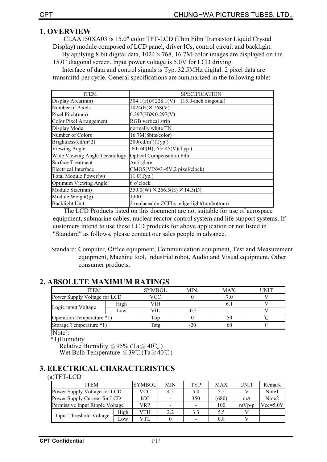## **1. OVERVIEW**

CLAA150XA03 is 15.0" color TFT-LCD (Thin Film Transistor Liquid Crystal Display) module composed of LCD panel, driver ICs, control circuit and backlight. By applying 8 bit digital data,  $1024 \times 768$ , 16.7M-color images are displayed on the 15.0" diagonal screen. Input power voltage is 5.0V for LCD driving.

Interface of data and control signals is Typ. 32.5MHz digital. 2 pixel data are transmittd per cycle. General specifications are summarized in the following table:

| <b>ITEM</b>                   | <b>SPECIFICATION</b>                                  |
|-------------------------------|-------------------------------------------------------|
| Display Area(mm)              | $304.1(H) \times 228.1(V)$<br>$(15.0$ -inch diagonal) |
| Number of Pixels              | $1024(H) \times 768(V)$                               |
| Pixel Pitch(mm)               | $0.297(H) \times 0.297(V)$                            |
| Color Pixel Arrangement       | RGB vertical strip                                    |
| Display Mode                  | normally white TN                                     |
| Number of Colors              | 16.7M(8bits/color)                                    |
| Brightness(cd/m^2)            | $200 \text{(cd/m}^2) \text{(Typ.)}$                   |
| Viewing Angle                 | $-60-60(H)$ , $-55-45(V)(Typ.)$                       |
| Wide Viewing Angle Technology | <b>Optical Compensation Film</b>                      |
| <b>Surface Treatment</b>      | Anti-glare                                            |
| <b>Electrical Interface</b>   | $CMOS(VIN=3~5V,2 pixel/clock)$                        |
| Total Module Power(w)         | $11.0$ (Typ.)                                         |
| Optimum Viewing Angle         | 6 o'clock                                             |
| Module Size(mm)               | $350.0(W) \times 266.5(H) \times 14.5(D)$             |
| Module Weight(g)              | 1300                                                  |
| <b>Backlight Unit</b>         | 2 replaceable CCFLs edge-light(top/bottom)            |

The LCD Products listed on this document are not suitable for use of aerospace equipment, submarine cables, nuclear reactor control system and life support systems. If customers intend to use these LCD products for above application or not listed in "Standard" as follows, please contact our sales people in advance.

Standard: Computer, Office equipment, Communication equipment, Test and Measurement equipment, Machine tool, Industrial robot, Audio and Visual equipment, Other consumer products.

## **2. ABSOLUTE MAXIMUM RATINGS**

| <b>ITEM</b>                  |     | <b>SYMBOL</b> | MIN.   | MAX. | UNIT |
|------------------------------|-----|---------------|--------|------|------|
| Power Supply Voltage for LCD |     | VCC           |        |      |      |
| High                         |     | VIH           |        |      |      |
| Logic input Voltage          | Low | VІL           | $-0.5$ |      |      |
| Operation Temperature *1)    |     | Top           |        | 50   |      |
| Storage Temperature *1)      |     | Fstg          |        | 60   |      |

[Note]:

\*1)Humidity

Relative Humidity  $\leq$  95% (Ta $\leq$  40°C) Wet Bulb Temperature  $\leq 39^{\circ}$ C (Ta $\geq 40^{\circ}$ C)

## **3. ELECTRICAL CHARACTERISTICS**

#### $(a) TFT-LCD$

| <b>ITEM</b>                     | <b>SYMBOL</b> | <b>MIN</b> | <b>TYP</b> | MAX                      | UNIT  | Remark  |                   |
|---------------------------------|---------------|------------|------------|--------------------------|-------|---------|-------------------|
| Power Supply Voltage for LCD    | VCC           | 4.5        | 5.0        | 5.5                      |       | Note1   |                   |
| Power Supply Current for LCD    |               | ICC        |            | 350                      | (680) | mA      | Note <sub>2</sub> |
| Permissive Input Ripple Voltage |               | VRP        | -          | $\overline{\phantom{0}}$ | 100   | $mVp-p$ | $Vcc=5.0V$        |
|                                 | High          | VTH        | 2.2        | 3.3                      | 5.5   |         |                   |
| <b>Input Threshold Voltage</b>  | Low           | VTI.       |            | -                        | 0.8   |         |                   |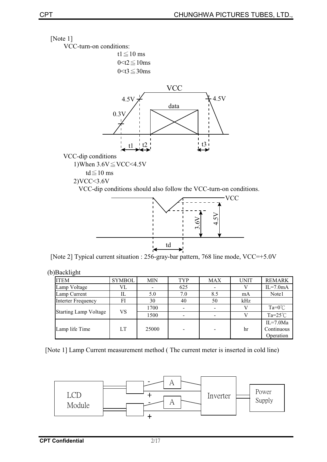



td

| <b>ITEM</b>                  | <b>SYMBOL</b> | <b>MIN</b> | <b>TYP</b> | <b>MAX</b> | <b>UNIT</b> | <b>REMARK</b>    |
|------------------------------|---------------|------------|------------|------------|-------------|------------------|
| Lamp Voltage                 | VL            |            | 625        |            |             | $IL=7.0mA$       |
| Lamp Current                 | IL            | 5.0        | 7.0        | 8.5        | mA          | Note1            |
| <b>Interter Frequency</b>    | FI            | 30         | 40         | 50         | kHz         |                  |
|                              | VS.           | 1700       |            |            |             | $Ta=0^{\circ}C$  |
| <b>Starting Lamp Voltage</b> |               | 1500       |            |            |             | $Ta=25^{\circ}C$ |
|                              |               |            |            |            |             | $IL=7.0Ma$       |
| Lamp life Time               | LT<br>25000   |            |            |            | hr          | Continuous       |
|                              |               |            |            |            |             | Operation        |

[Note 1] Lamp Current measurement method (The current meter is inserted in cold line)

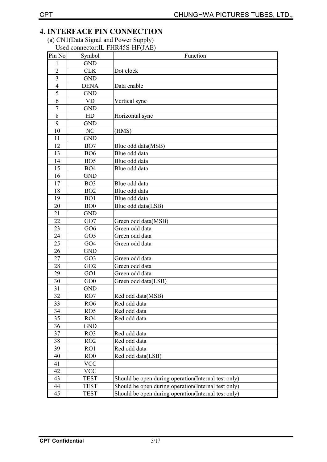## **4. INTERFACE PIN CONNECTION**

## (a) CN1(Data Signal and Power Supply) Used connector: IL-FHR45S-HF(JAE)

| Pin No                  | Symbol          | Function                                            |
|-------------------------|-----------------|-----------------------------------------------------|
| 1                       | <b>GND</b>      |                                                     |
| $\overline{2}$          | <b>CLK</b>      | Dot clock                                           |
| $\overline{\mathbf{3}}$ | <b>GND</b>      |                                                     |
| $\overline{4}$          | <b>DENA</b>     | Data enable                                         |
| 5                       | <b>GND</b>      |                                                     |
| 6                       | <b>VD</b>       | Vertical sync                                       |
| $\overline{7}$          | <b>GND</b>      |                                                     |
| 8                       | HD              | Horizontal sync                                     |
| 9                       | <b>GND</b>      |                                                     |
| 10                      | NC              | (HMS)                                               |
| 11                      | <b>GND</b>      |                                                     |
| 12                      | BO <sub>7</sub> | Blue odd data(MSB)                                  |
| 13                      | <b>BO6</b>      | Blue odd data                                       |
| 14                      | BO <sub>5</sub> | Blue odd data                                       |
| 15                      | BO <sub>4</sub> | Blue odd data                                       |
| 16                      | <b>GND</b>      |                                                     |
| 17                      | BO <sub>3</sub> | Blue odd data                                       |
| 18                      | BO <sub>2</sub> | Blue odd data                                       |
| 19                      | BO <sub>1</sub> | Blue odd data                                       |
| 20                      | BO <sub>0</sub> | Blue odd data(LSB)                                  |
| 21                      | <b>GND</b>      |                                                     |
| 22                      | GO7             | Green odd data(MSB)                                 |
| 23                      | GO <sub>6</sub> | Green odd data                                      |
| 24                      | GO <sub>5</sub> | Green odd data                                      |
| 25                      | GO <sub>4</sub> | Green odd data                                      |
| 26                      | <b>GND</b>      |                                                     |
| 27                      | GO <sub>3</sub> | Green odd data                                      |
| 28                      | GO <sub>2</sub> | Green odd data                                      |
| 29                      | GO1             | Green odd data                                      |
| 30                      | GO0             | Green odd data(LSB)                                 |
| 31                      | <b>GND</b>      |                                                     |
| 32                      | RO7             | Red odd data(MSB)                                   |
| 33                      | RO <sub>6</sub> | Red odd data                                        |
| 34                      | RO5             | Red odd data                                        |
| 35                      | RO4             | Red odd data                                        |
| 36                      | <b>GND</b>      |                                                     |
| 37                      | RO3             | Red odd data                                        |
| 38                      | RO2             | Red odd data                                        |
| 39                      | RO1             | Red odd data                                        |
| 40                      | RO0             | Red odd data(LSB)                                   |
| 41                      | <b>VCC</b>      |                                                     |
| 42                      | <b>VCC</b>      |                                                     |
| 43                      | <b>TEST</b>     | Should be open during operation(Internal test only) |
| 44                      | <b>TEST</b>     | Should be open during operation(Internal test only) |
| 45                      | <b>TEST</b>     | Should be open during operation(Internal test only) |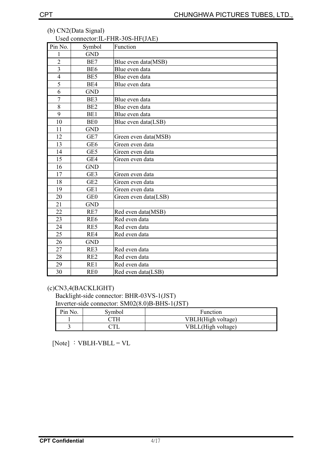| Pin No.        | Symbol          | $\sim$ SCG COMICCIÓN.IL-I HIN-900-TH (97 KL)<br>Function |
|----------------|-----------------|----------------------------------------------------------|
| $\mathbf{1}$   | <b>GND</b>      |                                                          |
| $\overline{2}$ | BE7             | Blue even data(MSB)                                      |
| $\overline{3}$ | BE <sub>6</sub> | Blue even data                                           |
| $\overline{4}$ | BE5             | Blue even data                                           |
| 5              | BE4             | Blue even data                                           |
| 6              | <b>GND</b>      |                                                          |
| $\overline{7}$ | BE3             | Blue even data                                           |
| $\overline{8}$ | BE <sub>2</sub> | Blue even data                                           |
| 9              | BE1             | Blue even data                                           |
| 10             | <b>BE0</b>      | Blue even data(LSB)                                      |
| 11             | <b>GND</b>      |                                                          |
| 12             | GE7             | Green even data(MSB)                                     |
| 13             | GE <sub>6</sub> | Green even data                                          |
| 14             | GE5             | Green even data                                          |
| 15             | GE4             | Green even data                                          |
| 16             | <b>GND</b>      |                                                          |
| 17             | GE3             | Green even data                                          |
| 18             | GE <sub>2</sub> | Green even data                                          |
| 19             | GE1             | Green even data                                          |
| 20             | GE <sub>0</sub> | Green even data(LSB)                                     |
| 21             | <b>GND</b>      |                                                          |
| 22             | RE7             | Red even data(MSB)                                       |
| 23             | RE <sub>6</sub> | Red even data                                            |
| 24             | RE5             | Red even data                                            |
| 25             | RE4             | Red even data                                            |
| 26             | <b>GND</b>      |                                                          |
| 27             | RE3             | Red even data                                            |
| 28             | RE <sub>2</sub> | Red even data                                            |
| 29             | RE1             | Red even data                                            |
| 30             | RE <sub>0</sub> | Red even data(LSB)                                       |

#### (b) CN2(Data Signal) Used connector: IL-FHR-30S-HF(JAE)

## (c)CN3,4(BACKLIGHT)

Backlight-side connector: BHR-03VS-1(JST) Inverter-side connector: SM02(8.0)B-BHS-1(JST)

| Pin No. | Symbol | <b>Function</b>    |
|---------|--------|--------------------|
|         |        | VBLH(High voltage) |
|         |        | VBLL(High voltage) |

[Note] : VBLH-VBLL = VL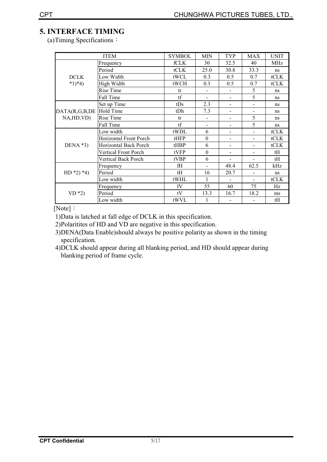## **5. INTERFACE TIMING**

(a) Timing Specifications:

|                  | <b>ITEM</b>                | <b>SYMBOL</b> | <b>MIN</b>               | TYP                          | <b>MAX</b>               | <b>UNIT</b> |
|------------------|----------------------------|---------------|--------------------------|------------------------------|--------------------------|-------------|
|                  | Frequency                  | fCLK          | 30                       | 32.5                         | 40                       | <b>MHz</b>  |
|                  | Period                     | tCLK          | 25.0                     | 30.8                         | 33.3                     | ns          |
| <b>DCLK</b>      | Low Width                  | tWCL          | 0.3                      | 0.5                          | 0.7                      | tCLK        |
| $*1)*4)$         | High Width                 | tWCH          | 0.3                      | 0.5                          | 0.7                      | tCLK        |
|                  | Rise Time                  | tr            |                          |                              | 5                        | ns          |
|                  | Fall Time                  | tf            | $\blacksquare$           | $\qquad \qquad \blacksquare$ | 5                        | ns          |
|                  | Set up Time                | tDs           | 2.3                      | $\overline{\phantom{0}}$     | $\overline{\phantom{0}}$ | ns          |
| DATA(R,G,B,DE    | Hold Time                  | tDh           | 7.3                      |                              |                          | ns          |
| NA, HD, VD)      | Rise Time                  | tr            |                          | ۰                            | 5                        | ns          |
|                  | Fall Time                  | tf            | $\overline{\phantom{a}}$ | $\qquad \qquad \blacksquare$ | 5                        | ns          |
|                  | Low width                  | tWDL          | 6                        |                              |                          | tCLK        |
|                  | Horizontal Front Porch     | tHFP          | $\theta$                 |                              |                          | tCLK        |
| DENA $*3)$       | Horizontal Back Porch      | tHBP          | 6                        | $\overline{\phantom{0}}$     |                          | tCLK        |
|                  | Vertical Front Porch       | tVFP          | $\theta$                 |                              |                          | tH          |
|                  | <b>Vertical Back Porch</b> | tVBP          | 6                        |                              |                          | tH          |
|                  | Frequency                  | fH            | $\ddot{\phantom{1}}$     | 48.4                         | 62.5                     | kHz         |
| HD $*2$ ) $*4$ ) | Period                     | tH            | 16                       | 20.7                         |                          | <b>us</b>   |
|                  | Low width                  | tWHL          | 1                        |                              |                          | tCLK        |
|                  | Frequency                  | fV            | 55                       | 60                           | 75                       | Hz          |
| $VD*2)$          | Period                     | tV            | 13.3                     | 16.7                         | 18.2                     | ms          |
|                  | Low width                  | tWVL          | 1                        |                              |                          | tH          |

[Note]  $\colon$ 

1) Data is latched at fall edge of DCLK in this specification.

2) Polaritities of HD and VD are negative in this specification.

3) DENA(Data Enable) should always be positive polarity as shown in the timing specification.

4) DCLK should appear during all blanking period, and HD should appear during blanking period of frame cycle.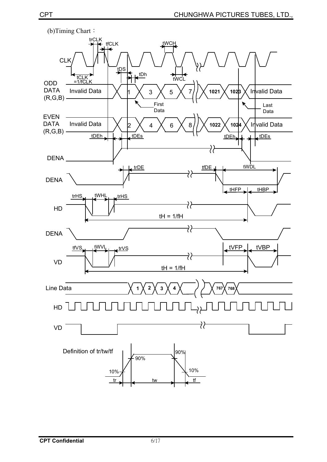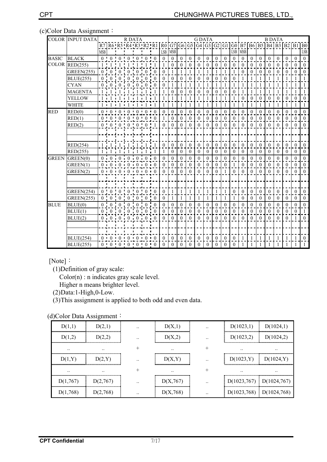## (c)Color Data Assignment:

|              | <b>COLOR INPUT DATA</b> | R DATA     |              |                |                                     |                | <b>G DATA</b>                     |                |                  |                  |                  | <b>B DATA</b>    |                  |                |                                                                      |                  |                  |                  |                  |                  |                  |                  |                  |              |                |
|--------------|-------------------------|------------|--------------|----------------|-------------------------------------|----------------|-----------------------------------|----------------|------------------|------------------|------------------|------------------|------------------|----------------|----------------------------------------------------------------------|------------------|------------------|------------------|------------------|------------------|------------------|------------------|------------------|--------------|----------------|
|              |                         |            |              |                |                                     |                |                                   |                |                  |                  |                  |                  |                  |                | R7 R6'R5'R4'R3'R2'R1 R0 G7 G6 G5 G4 G3 G2 G1 G0 B7 B6 B5 B4 B3 B2 B1 |                  |                  |                  |                  |                  |                  |                  |                  |              | ${\bf B0}$     |
|              |                         | <b>MSB</b> |              |                |                                     |                |                                   |                | LSB              | <b>MSB</b>       |                  |                  |                  |                |                                                                      |                  | LSB              | <b>MSB</b>       |                  |                  |                  |                  |                  |              | ${\rm LSB}$    |
| <b>BASIC</b> | <b>BLACK</b>            |            |              |                |                                     |                | $0 \t0 \t0 \t0 \t0 \t0 \t0 \t0$   |                | $\mathbf{0}$     | $\mathbf{0}$     | $\overline{0}$   | $\mathbf{0}$     | $\mathbf{0}$     | $\mathbf{0}$   | $\theta$                                                             | $\mathbf{0}$     | $\theta$         | $\mathbf{0}$     | $\mathbf{0}$     | $\mathbf{0}$     | $\theta$         | $\mathbf{0}$     | $\mathbf{0}$     | $\theta$     | $\overline{0}$ |
| <b>COLOR</b> | RED(255)                |            | $\mathbf{1}$ | $\blacksquare$ | $1\ \ 1\ \ 1\ \ 1$                  |                | $\mathbf{1}$                      |                | 1                | $\mathbf{0}$     | $\mathbf{0}$     | $\mathbf{0}$     | $\boldsymbol{0}$ | $\mathbf{0}$   | $\mathbf{0}$                                                         | $\theta$         | $\mathbf{0}$     | $\theta$         | $\theta$         | $\theta$         | $\theta$         | $\mathbf{0}$     | $\boldsymbol{0}$ | $\theta$     | $\mathbf{0}$   |
|              | <b>GREEN(255)</b>       |            | $0 \t0$      | $\mathbf{0}$   |                                     | $0 \quad 0$    | $\boldsymbol{0}$                  | $\overline{0}$ | $\mathbf{0}$     | 1                | 1                | 1                | 1                | 1              | 1                                                                    |                  | 1                | $\overline{0}$   | $\overline{0}$   | $\theta$         | $\mathbf{0}$     | $\mathbf{0}$     | $\overline{0}$   | $\mathbf{0}$ | $\overline{0}$ |
|              | <b>BLUE(255)</b>        |            | $0 \quad 0$  | 0              | 0                                   | 0 <sub>1</sub> | $\boldsymbol{0}$                  | $\overline{0}$ | $\mathbf{0}$     | $\mathbf{0}$     | $\mathbf{0}$     | $\mathbf{0}$     | $\mathbf{0}$     | $\overline{0}$ | $\mathbf{0}$                                                         | $\theta$         | $\theta$         |                  |                  |                  |                  |                  | $\mathbf{1}$     |              | $\mathbf{1}$   |
|              | <b>CYAN</b>             |            |              |                | $0 \t 0 \t 0 \t 0 \t 0 \t 0$        |                |                                   |                | $\mathbf{0}$     | 1                | $\mathbf{1}$     | $\mathbf{1}$     | $\mathbf{1}$     | $\mathbf{1}$   | $\mathbf{1}$                                                         |                  | $\mathbf{1}$     | $\mathbf{1}$     | 1                |                  | $\mathbf{1}$     | $\mathbf{1}$     | $\mathbf{1}$     |              | $\mathbf{1}$   |
|              | <b>MAGENTA</b>          |            |              |                | $1 \quad 1 \quad 1 \quad 1 \quad 1$ |                |                                   |                |                  | $\overline{0}$   | $\boldsymbol{0}$ | $\mathbf{0}$     | $\mathbf{0}$     | $\mathbf{0}$   | $\mathbf{0}$                                                         | $\mathbf{0}$     | $\mathbf{0}$     |                  |                  |                  |                  | 1                | 1                |              | 1              |
|              | YELLOW                  |            |              |                |                                     |                | 1 i 1 i 1 i 1 i 1 i 1 i 1         |                |                  |                  | 1                |                  | 1                |                |                                                                      |                  | 1                | $\mathbf{0}$     | $\mathbf{0}$     | $\theta$         | $\mathbf{0}$     | $\mathbf{0}$     | $\overline{0}$   | $\mathbf{0}$ | $\mathbf{0}$   |
|              | <b>WHITE</b>            |            |              |                |                                     |                | $1 - 1 - 1 - 1 - 1 - 1 - 1$       |                |                  | 1                | $\mathbf{1}$     | 1                | $\mathbf{1}$     | 1              | $\mathbf{1}$                                                         | 1                | $\mathbf{1}$     | 1                | $\mathbf{1}$     |                  | $\mathbf{1}$     | $\mathbf{1}$     | $\mathbf{1}$     | 1            | $\mathbf{1}$   |
| <b>RED</b>   | RED(0)                  |            |              |                |                                     |                | $0 \t0 \t0 \t0 \t0 \t0 \t0 \t0$   |                | $\boldsymbol{0}$ | $\boldsymbol{0}$ | 0                | $\boldsymbol{0}$ | $\boldsymbol{0}$ | $\bf{0}$       | 0                                                                    | $\mathbf{0}$     | $\bf{0}$         | $\boldsymbol{0}$ | $\bf{0}$         | $\mathbf{0}$     | $\boldsymbol{0}$ | $\boldsymbol{0}$ | $\boldsymbol{0}$ | $\mathbf{0}$ | $\mathbf{0}$   |
|              | RED(1)                  |            |              |                |                                     |                | $0 \t 0 \t 0 \t 0 \t 0 \t 0 \t 0$ |                |                  | $\theta$         | $\theta$         | $\theta$         | $\theta$         | $\theta$       | $\theta$                                                             | $\theta$         | $\theta$         | $\theta$         | $\theta$         | $\Omega$         | $\theta$         | $\mathbf{0}$     | $\overline{0}$   | $\Omega$     | $\mathbf{0}$   |
|              | RED(2)                  |            |              |                |                                     |                | $0 \t 0 \t 0 \t 0 \t 0 \t 0 \t 1$ |                | $\theta$         | $\Omega$         | $\theta$         | $\theta$         | $\theta$         | $\theta$       | $\theta$                                                             | $\Omega$         | $\Omega$         | $\theta$         | $\theta$         | $\Omega$         | $\Omega$         | $\theta$         | $\theta$         | $\theta$     | $\theta$       |
|              |                         |            |              |                |                                     |                |                                   |                |                  |                  |                  |                  |                  |                |                                                                      |                  |                  |                  |                  |                  |                  |                  |                  |              |                |
|              |                         |            |              |                |                                     |                |                                   |                |                  |                  |                  |                  |                  |                |                                                                      |                  |                  |                  |                  |                  |                  |                  |                  |              |                |
|              | RED(254)                |            |              |                | $1 \t1 \t1$                         |                |                                   |                | $\theta$         | $\Omega$         | $\theta$         | $\theta$         | $\theta$         | $\theta$       | $\theta$                                                             | $\theta$         | $\theta$         | $\theta$         | $\mathbf{0}$     | $\theta$         | $\theta$         | $\theta$         | $\overline{0}$   | $\theta$     | $\overline{0}$ |
|              | RED(255)                |            |              |                |                                     |                |                                   |                |                  | $\overline{0}$   | $\bf{0}$         | $\boldsymbol{0}$ | $\bf{0}$         | $\bf{0}$       | $\bf{0}$                                                             | $\boldsymbol{0}$ | $\boldsymbol{0}$ | $\bf{0}$         | $\boldsymbol{0}$ | $\boldsymbol{0}$ | $\bf{0}$         | $\boldsymbol{0}$ | $\boldsymbol{0}$ | $\bf{0}$     | $\mathbf{0}$   |
| <b>GREEN</b> | GREEN(0)                |            |              |                |                                     |                | $0 \t0 \t0 \t0 \t0 \t0 \t0$       |                | $\theta$         | $\Omega$         | $\mathbf{0}$     | $\mathbf{0}$     | $\mathbf{0}$     | $\mathbf{0}$   | $\mathbf{0}$                                                         | $\theta$         | $\mathbf{0}$     | $\theta$         | $\mathbf{0}$     | $\theta$         | $\mathbf{0}$     | $\mathbf{0}$     | $\mathbf{0}$     | $\theta$     | $\mathbf{0}$   |
|              | GREEN(1)                |            |              |                |                                     |                | $0 \t0 \t0 \t0 \t0 \t0 \t0 \t0$   |                | $\theta$         | $\theta$         | $\Omega$         | $\theta$         | $\theta$         | $\mathbf{0}$   | $\theta$                                                             | $\theta$         | 1                | $\mathbf{0}$     | $\mathbf{0}$     | $\Omega$         | $\theta$         | $\mathbf{0}$     | $\mathbf{0}$     | $\theta$     | $\overline{0}$ |
|              | GREEN(2)                |            |              |                |                                     |                | 0.0000000000000                   |                | $\theta$         | $\theta$         | $\mathbf{0}$     | $\theta$         | $\mathbf{0}$     | $\theta$       | $\mathbf{0}$                                                         |                  | $\theta$         | $\theta$         | $\theta$         | $\theta$         | $\theta$         | $\theta$         | $\mathbf{0}$     | $\mathbf{0}$ | $\mathbf{0}$   |
|              |                         |            |              |                |                                     |                |                                   |                |                  |                  |                  |                  |                  |                |                                                                      |                  |                  |                  |                  |                  |                  |                  |                  |              |                |
|              |                         |            |              |                |                                     |                |                                   |                |                  |                  |                  |                  |                  |                |                                                                      |                  |                  |                  |                  |                  |                  |                  |                  |              |                |
|              | <b>GREEN(254)</b>       |            |              |                | $0$ 0 0 0 0 0                       |                | $\mathbf{0}$                      | $\bf{0}$       | $\mathbf{0}$     |                  | 1                | $\mathbf{1}$     | $\mathbf{1}$     | $\mathbf{1}$   | $\mathbf{1}$                                                         |                  | $\theta$         | $\mathbf{0}$     | $\mathbf{0}$     | $\theta$         | $\theta$         | $\mathbf{0}$     | $\boldsymbol{0}$ | $\Omega$     | $\overline{0}$ |
|              | <b>GREEN(255)</b>       |            |              |                | $0 \t 0 \t 0 \t 0 \t 0$             |                | 0                                 |                | $\mathbf{0}$     |                  | 1                |                  | 1                |                | 1                                                                    |                  | 1                | $\mathbf{0}$     | $\Omega$         | $\mathbf{0}$     | $\theta$         | $\mathbf{0}$     | $\mathbf{0}$     | $\mathbf{0}$ | $\overline{0}$ |
| <b>BLUE</b>  | BLUE(0)                 |            |              |                |                                     |                | 0 0 0 0 0 0 0 0 0 0               |                | $\boldsymbol{0}$ | $\overline{0}$   | $\theta$         | $\mathbf{0}$     | $\mathbf{0}$     | $\mathbf{0}$   | $\theta$                                                             | $\theta$         | $\theta$         | $\theta$         | $\theta$         | $\theta$         | $\theta$         | $\mathbf{0}$     | $\mathbf{0}$     | $\theta$     | $\mathbf{0}$   |
|              | BLUE(1)                 |            |              |                |                                     |                | 0 0 0 0 0 0 0 0 0 0               |                | $\mathbf{0}$     | $\theta$         | $\theta$         | $\mathbf{0}$     | $\mathbf{0}$     | $\mathbf{0}$   | $\mathbf{0}$                                                         | $\theta$         | $\theta$         | $\mathbf{0}$     | $\mathbf{0}$     | $\Omega$         | $\theta$         | $\mathbf{0}$     | $\overline{0}$   | $\theta$     | $\mathbf{1}$   |
|              | BLUE(2)                 |            |              |                |                                     |                | $0 \t 0 \t 0 \t 0 \t 0 \t 0 \t 0$ |                | $\theta$         | $\theta$         | $\theta$         | $\Omega$         | $\mathbf{0}$     | $\theta$       | $\theta$                                                             | $\Omega$         | $\theta$         | $\theta$         | $\theta$         | $\Omega$         | $\theta$         | $\theta$         | $\overline{0}$   |              | $\overline{0}$ |
|              |                         |            |              |                |                                     |                |                                   |                |                  |                  |                  |                  |                  |                |                                                                      |                  |                  |                  |                  |                  |                  |                  |                  |              |                |
|              |                         |            |              |                |                                     |                |                                   |                |                  |                  |                  |                  |                  |                |                                                                      |                  |                  |                  |                  |                  |                  |                  |                  |              |                |
|              | <b>BLUE(254)</b>        |            |              |                |                                     |                | $0 + 0 + 0 + 0 + 0 + 0 + 0$       |                | $\theta$         | $\Omega$         | $\theta$         | $\theta$         | $\theta$         | $\theta$       | $\theta$                                                             | $\theta$         | $\theta$         |                  |                  |                  |                  |                  | 1                |              | $\overline{0}$ |
|              | <b>BLUE(255)</b>        |            |              |                |                                     |                | $0 \t 0 \t 0 \t 0 \t 0 \t 0 \t 0$ |                | $\Omega$         | 0                | $\Omega$         | 0                | $\theta$         | $\Omega$       | $\theta$                                                             | $\Omega$         | $\Omega$         |                  |                  |                  |                  |                  |                  |              | $\mathbf{1}$   |

[Note]  $\colon$ 

(1) Definition of gray scale:

 $Color(n)$ : n indicates gray scale level.

Higher n means brighter level.

 $(2)$ Data:1-High,0-Low.

(3) This assignment is applied to both odd and even data.

(d)Color Data Assignment:

|               |               | $\cdot \cdot$ |               | $\cdot \cdot$ | D(1023,1)<br>- 1            | D(1024,1)     |
|---------------|---------------|---------------|---------------|---------------|-----------------------------|---------------|
|               |               | $\cdot$ .     |               |               | $D(1023,2)$ $D(1024,2)$     |               |
| $\cdot \cdot$ | $\cdot \cdot$ |               | $\cdot \cdot$ |               | $\cdot \cdot$               | $\cdot \cdot$ |
| D(1,Y)        |               | $\cdot \cdot$ | D(X, Y)       |               | $D(1023,Y)$ $D(1024,Y)$     |               |
| $\cdot \cdot$ |               |               |               |               | $\cdot \cdot$               |               |
| D(1,767)<br>÷ | D(2,767)      | $\cdot$ .     | D(X, 767)     |               | $D(1023,767)$ $D(1024,767)$ |               |
|               |               | $\cdot \cdot$ |               | $\cdot \cdot$ | $D(1023,768)$ $D(1024,768)$ |               |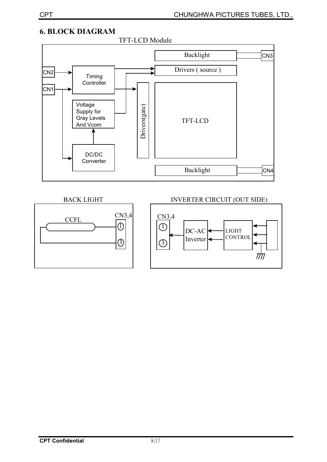## **6. BLOCK DIAGRAM**



#### **BACK LIGHT**

# $CN3,4$ **CCFL**  $\overline{0}$  $\circledS$

## **INVERTER CIRCUIT (OUT SIDE)**

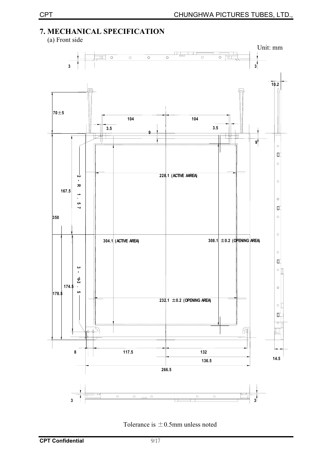## 7. MECHANICAL SPECIFICATION

(a) Front side



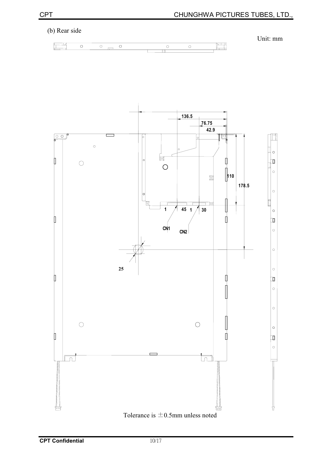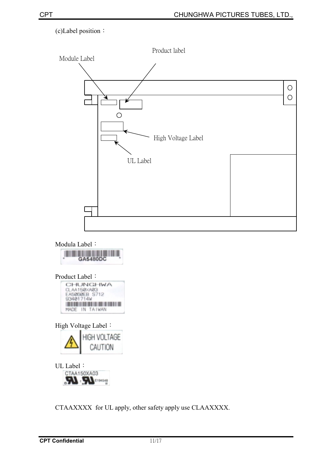## (c)Label position:



CTAAXXXX for UL apply, other safety apply use CLAAXXXX.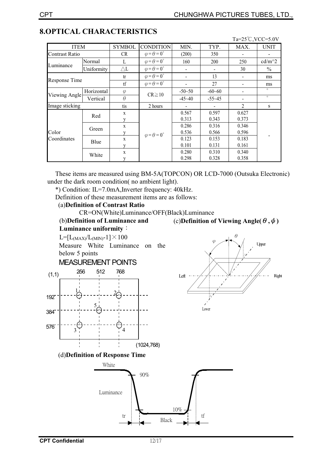|                       |            |               |                                |                |                | Ta= $25^{\circ}$ C, VCC=5.0V |               |  |
|-----------------------|------------|---------------|--------------------------------|----------------|----------------|------------------------------|---------------|--|
| <b>ITEM</b>           |            | <b>SYMBOL</b> | <b>CONDITION</b>               | MIN.           | TYP.           | MAX.                         | <b>UNIT</b>   |  |
| <b>Contrast Ratio</b> |            | <b>CR</b>     | $\varphi = \theta = 0^{\circ}$ | (200)          | 350            |                              |               |  |
|                       | Normal     | L             | $\varphi = \theta = 0^{\circ}$ | 160            | 200            | 250                          | $cd/m^2$      |  |
| Luminance             | Uniformity | $\triangle$ L | $\varphi = \theta = 0^{\circ}$ |                |                | 30                           | $\frac{0}{0}$ |  |
|                       |            | tr            | $\varphi = \theta = 0^{\circ}$ |                | 13             |                              | ms            |  |
| Response Time         |            | tf            | $\varphi = \theta = 0^{\circ}$ |                | 27             |                              | ms            |  |
|                       | Horizontal | $\varphi$     |                                | $-50 - 50$     | $-60 - 60$     |                              | $\circ$       |  |
| Viewing Angle         | Vertical   | $\theta$      | $CR \ge 10$                    | $-45 - 40$     | $-55-45$       |                              | $\circ$       |  |
| Image sticking        |            | tis           | 2 hours                        |                |                | $\overline{c}$               | S             |  |
|                       | Red        | X<br>V        |                                | 0.567<br>0.313 | 0.597<br>0.343 | 0.627<br>0.373               |               |  |
|                       | Green      | X             |                                | 0.286          | 0.316          | 0.346                        |               |  |
| Color                 |            | V             | $\varphi = \theta = 0^{\circ}$ | 0.536          | 0.566          | 0.596                        |               |  |
| Coordinates           | Blue       | $\mathbf{x}$  |                                | 0.123          | 0.153          | 0.183                        |               |  |
|                       |            | v             |                                | 0.101          | 0.131          | 0.161                        |               |  |
|                       | White      | X             |                                | 0.280          | 0.310          | 0.340                        |               |  |
|                       |            | y             |                                | 0.298          | 0.328          | 0.358                        |               |  |

## **8.OPTICAL CHARACTERISTICS**

These items are measured using BM-5A(TOPCON) OR LCD-7000 (Outsuka Electronic) under the dark room condition(no ambient light).

\*) Condition: IL=7.0mA, Inverter frequency: 40kHz.

Definition of these measurement items are as follows:

#### (a) Definition of Contrast Ratio

CR=ON(White)Luminance/OFF(Black)Luminance

(b)Definition of Luminance and Luminance uniformity:

(c)Definition of Viewing Angle( $\theta$ , $\phi$ )

 $L=[L_{(MAX)}/L_{(MIN)}-1]\times 100$ Measure White Luminance on the below 5 points **MEASUREMENT POINTS** 256 512 768  $(1,1)$ **Left** 192  $\blacktriangle$ Lower 384 576  $\overline{4}$ 3  $(1024, 768)$ (d)Definition of Response Time White 90% Luminance

tr



10%

Black

tf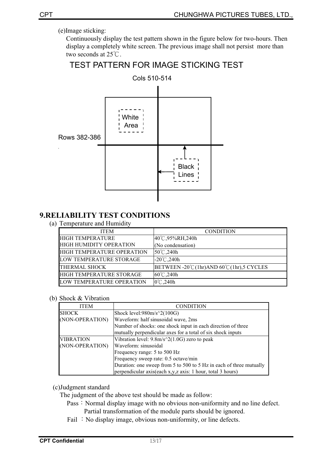(e)Image sticking:

Continuously display the test pattern shown in the figure below for two-hours. Then display a completely white screen. The previous image shall not persist more than two seconds at  $25^{\circ}$ C.

## **TEST PATTERN FOR IMAGE STICKING TEST**



## **9.RELIABILITY TEST CONDITIONS**

(a) Temperature and Humidity

| <b>ITEM</b>                    | <b>CONDITION</b>                       |
|--------------------------------|----------------------------------------|
| <b>HIGH TEMPERATURE</b>        | 40°C,95%RH,240h                        |
| <b>HIGH HUMIDITY OPERATION</b> | (No condensation)                      |
| HIGH TEMPERATURE OPERATION     | 50°C,240h                              |
| LOW TEMPERATURE STORAGE        | $-20^{\circ}$ C, 240h                  |
| <b>THERMAL SHOCK</b>           | BETWEEN -20℃(1hr)AND 60℃(1hr),5 CYCLES |
| HIGH TEMPERATURE STORAGE       | $60^{\circ}$ C, 240h                   |
| LOW TEMPERATURE OPERATION      | $0^{\circ}$ C, 240h                    |

#### (b) Shock & Vibration

| <b>ITEM</b>      | <b>CONDITION</b>                                                    |
|------------------|---------------------------------------------------------------------|
| <b>ISHOCK</b>    | Shock level: $980m/s^2(100G)$                                       |
| (NON-OPERATION)  | Waveform: half sinusoidal wave, 2ms                                 |
|                  | Number of shocks: one shock input in each direction of three        |
|                  | mutually perpendicular axes for a total of six shock inputs         |
| <b>VIBRATION</b> | Vibration level: $9.8m/s^2(1.0G)$ zero to peak                      |
| (NON-OPERATION)  | Waveform: sinusoidal                                                |
|                  | Frequency range: 5 to 500 Hz                                        |
|                  | Frequency sweep rate: 0.5 octave/min                                |
|                  | Duration: one sweep from 5 to 500 to 5 Hz in each of three mutually |
|                  | perpendicular axis(each x,y,z axis: 1 hour, total 3 hours)          |

(c)Judgment standard

The judgment of the above test should be made as follow:

- Pass: Normal display image with no obvious non-uniformity and no line defect. Partial transformation of the module parts should be ignored.
- Fail: No display image, obvious non-uniformity, or line defects.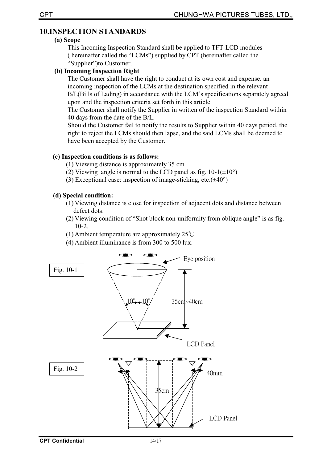## **10.INSPECTION STANDARDS**

#### (a) Scope

This Incoming Inspection Standard shall be applied to TFT-LCD modules (hereinafter called the "LCMs") supplied by CPT (hereinafter called the "Supplier" to Customer.

#### (b) Incoming Inspection Right

The Customer shall have the right to conduct at its own cost and expense, an incoming inspection of the LCMs at the destination specified in the relevant B/L(Bills of Lading) in accordance with the LCM's specifications separately agreed upon and the inspection criteria set forth in this article.

The Customer shall notify the Supplier in written of the inspection Standard within 40 days from the date of the B/L.

Should the Customer fail to notify the results to Supplier within 40 days period, the right to reject the LCMs should then lapse, and the said LCMs shall be deemed to have been accepted by the Customer.

#### (c) Inspection conditions is as follows:

- (1) Viewing distance is approximately 35 cm
- (2) Viewing angle is normal to the LCD panel as fig.  $10-1(\pm 10^{\circ})$
- (3) Exceptional case: inspection of image-sticking, etc. $(\pm 40^{\circ})$

#### (d) Special condition:

- (1) Viewing distance is close for inspection of adjacent dots and distance between defect dots.
- (2) Viewing condition of "Shot block non-uniformity from oblique angle" is as fig.  $10-2.$
- (1) Ambient temperature are approximately  $25^{\circ}$ C
- (4) Ambient illuminance is from 300 to 500 lux.

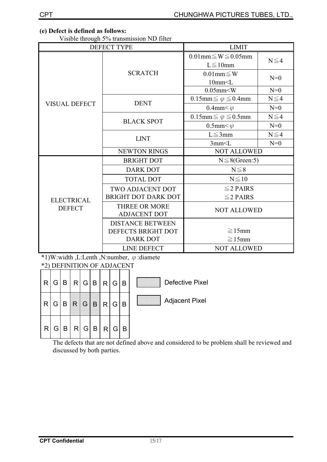## (e) Defect is defined as follows:

Visible through 5% transmission ND filter

|                      | $\frac{1}{2}$ is the constant $\frac{1}{2}$ of the constraints of $\frac{1}{2}$ in $\frac{1}{2}$<br>DEFECT TYPE | <b>LIMIT</b>                                      |            |  |  |
|----------------------|-----------------------------------------------------------------------------------------------------------------|---------------------------------------------------|------------|--|--|
|                      |                                                                                                                 | $0.01$ mm $\leq W \leq 0.05$ mm<br>$L \leq 10$ mm | $N \leq 4$ |  |  |
|                      | <b>SCRATCH</b>                                                                                                  | $0.01$ mm $\leq$ W<br>10mm < L                    | $N=0$      |  |  |
|                      |                                                                                                                 | $0.05$ mm $\leq W$                                | $N=0$      |  |  |
| <b>VISUAL DEFECT</b> | <b>DENT</b>                                                                                                     | $0.15$ mm $\leq \varphi \leq 0.4$ mm              | $N \leq 4$ |  |  |
|                      |                                                                                                                 | 0.4mm $< \varphi$                                 | $N=0$      |  |  |
|                      | <b>BLACK SPOT</b>                                                                                               | $0.15$ mm $\leq \varphi \leq 0.5$ mm              | $N \leq 4$ |  |  |
|                      |                                                                                                                 | 0.5mm $<\varphi$                                  | $N=0$      |  |  |
|                      | <b>LINT</b>                                                                                                     | $L \leq 3$ mm                                     | $N \leq 4$ |  |  |
|                      |                                                                                                                 | 3mm < L                                           | $N=0$      |  |  |
|                      | NEWTON RINGS                                                                                                    | <b>NOT ALLOWED</b>                                |            |  |  |
|                      | <b>BRIGHT DOT</b>                                                                                               | $N \leq 8$ (Green:5)                              |            |  |  |
|                      | <b>DARK DOT</b>                                                                                                 | $N \leq 8$                                        |            |  |  |
|                      | <b>TOTAL DOT</b>                                                                                                | $N \leq 10$                                       |            |  |  |
|                      | TWO ADJACENT DOT                                                                                                | $\leq$ 2 PAIRS                                    |            |  |  |
| <b>ELECTRICAL</b>    | <b>BRIGHT DOT DARK DOT</b>                                                                                      | $\leq$ 2 PAIRS                                    |            |  |  |
| <b>DEFECT</b>        | <b>THREE OR MORE</b><br><b>ADJACENT DOT</b>                                                                     | <b>NOT ALLOWED</b>                                |            |  |  |
|                      | <b>DISTANCE BETWEEN</b><br>DEFECTS BRIGHT DOT                                                                   | $\geq$ 15mm                                       |            |  |  |
|                      | <b>DARK DOT</b>                                                                                                 | $\geq$ 15mm                                       |            |  |  |
|                      | <b>LINE DEFECT</b>                                                                                              | <b>NOT ALLOWED</b>                                |            |  |  |

\*1)W:width, L:Lenth, N:number,  $\varphi$ :diamete

\*2) DEFINITION OF ADJACENT

| R | $\overline{G}$ | B |                | R G B          |                | R | G              | <b>B</b> | <b>Defective Pixel</b> |
|---|----------------|---|----------------|----------------|----------------|---|----------------|----------|------------------------|
| R | G              |   |                |                | B              | R | G              | B        | <b>Adjacent Pixel</b>  |
| R | G              | B | R <sub>l</sub> | $\overline{G}$ | $\overline{B}$ | R | G <sub>1</sub> | B        |                        |

The defects that are not defined above and considered to be problem shall be reviewed and discussed by both parties.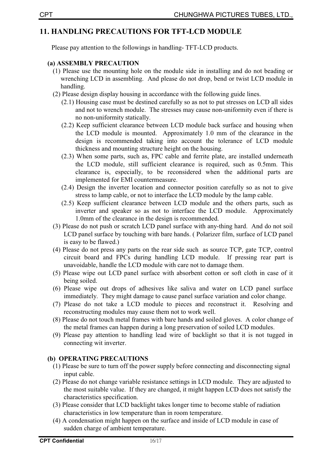## **11. HANDLING PRECAUTIONS FOR TFT-LCD MODULE**

Please pay attention to the followings in handling-TFT-LCD products.

## (a) ASSEMBLY PRECAUTION

- (1) Please use the mounting hole on the module side in installing and do not beading or wrenching LCD in assembling. And please do not drop, bend or twist LCD module in handling.
- (2) Please design display housing in accordance with the following guide lines.
	- (2.1) Housing case must be destined carefully so as not to put stresses on LCD all sides and not to wrench module. The stresses may cause non-uniformity even if there is no non-uniformity statically.
	- (2.2) Keep sufficient clearance between LCD module back surface and housing when the LCD module is mounted. Approximately 1.0 mm of the clearance in the design is recommended taking into account the tolerance of LCD module thickness and mounting structure height on the housing.
	- (2.3) When some parts, such as, FPC cable and ferrite plate, are installed underneath the LCD module, still sufficient clearance is required, such as 0.5mm. This clearance is, especially, to be reconsidered when the additional parts are implemented for EMI countermeasure.
	- (2.4) Design the inverter location and connector position carefully so as not to give stress to lamp cable, or not to interface the LCD module by the lamp cable.
	- (2.5) Keep sufficient clearance between LCD module and the others parts, such as inverter and speaker so as not to interface the LCD module. Approximately 1.0mm of the clearance in the design is recommended.
- (3) Please do not push or scratch LCD panel surface with any-thing hard. And do not soil LCD panel surface by touching with bare hands. (Polarizer film, surface of LCD panel is easy to be flawed.)
- (4) Please do not press any parts on the rear side such as source TCP, gate TCP, control circuit board and FPCs during handling LCD module. If pressing rear part is unavoidable, handle the LCD module with care not to damage them.
- (5) Please wipe out LCD panel surface with absorbent cotton or soft cloth in case of it being soiled.
- (6) Please wipe out drops of adhesives like saliva and water on LCD panel surface immediately. They might damage to cause panel surface variation and color change.
- (7) Please do not take a LCD module to pieces and reconstruct it. Resolving and reconstructing modules may cause them not to work well.
- (8) Please do not touch metal frames with bare hands and soiled gloves. A color change of the metal frames can happen during a long preservation of soiled LCD modules.
- (9) Please pay attention to handling lead wire of backlight so that it is not tugged in connecting wit inverter.

## (b) OPERATING PRECAUTIONS

- (1) Please be sure to turn off the power supply before connecting and disconnecting signal input cable.
- (2) Please do not change variable resistance settings in LCD module. They are adjusted to the most suitable value. If they are changed, it might happen LCD does not satisfy the characteristics specification.
- (3) Please consider that LCD backlight takes longer time to become stable of radiation characteristics in low temperature than in room temperature.
- (4) A condensation might happen on the surface and inside of LCD module in case of sudden charge of ambient temperature.